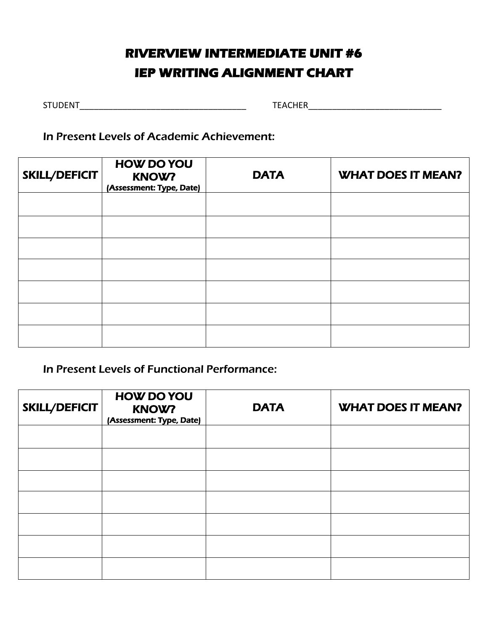# **RIVERVIEW INTERMEDIATE UNIT #6 IEP WRITING ALIGNMENT CHART**

STUDENT\_\_\_\_\_\_\_\_\_\_\_\_\_\_\_\_\_\_\_\_\_\_\_\_\_\_\_\_\_\_\_\_\_\_\_ TEACHER\_\_\_\_\_\_\_\_\_\_\_\_\_\_\_\_\_\_\_\_\_\_\_\_\_\_\_\_

In Present Levels of Academic Achievement:

| SKILL/DEFICIT | <b>HOW DO YOU</b><br><b>KNOW?</b><br>(Assessment: Type, Date) | <b>DATA</b> | <b>WHAT DOES IT MEAN?</b> |  |
|---------------|---------------------------------------------------------------|-------------|---------------------------|--|
|               |                                                               |             |                           |  |
|               |                                                               |             |                           |  |
|               |                                                               |             |                           |  |
|               |                                                               |             |                           |  |
|               |                                                               |             |                           |  |
|               |                                                               |             |                           |  |
|               |                                                               |             |                           |  |

### In Present Levels of Functional Performance:

| SKILL/DEFICIT | <b>HOW DO YOU</b><br><b>KNOW?</b><br>(Assessment: Type, Date) | <b>DATA</b> | <b>WHAT DOES IT MEAN?</b> |
|---------------|---------------------------------------------------------------|-------------|---------------------------|
|               |                                                               |             |                           |
|               |                                                               |             |                           |
|               |                                                               |             |                           |
|               |                                                               |             |                           |
|               |                                                               |             |                           |
|               |                                                               |             |                           |
|               |                                                               |             |                           |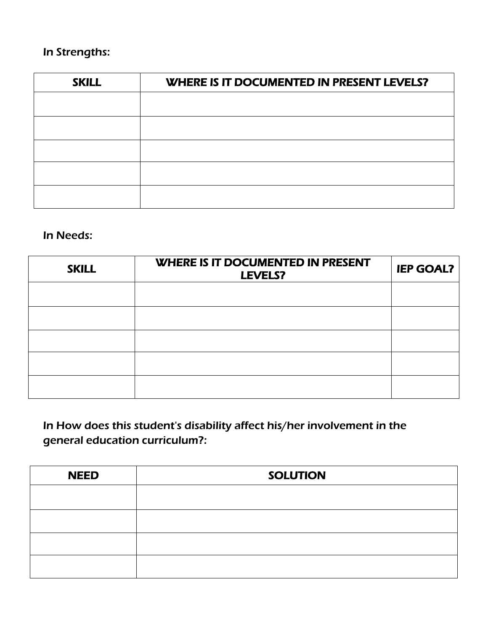## In Strengths:

| <b>SKILL</b> | WHERE IS IT DOCUMENTED IN PRESENT LEVELS? |  |  |
|--------------|-------------------------------------------|--|--|
|              |                                           |  |  |
|              |                                           |  |  |
|              |                                           |  |  |
|              |                                           |  |  |
|              |                                           |  |  |
|              |                                           |  |  |

### In Needs:

| <b>SKILL</b> | WHERE IS IT DOCUMENTED IN PRESENT<br>LEVELS? | <b>IEP GOAL?</b> |
|--------------|----------------------------------------------|------------------|
|              |                                              |                  |
|              |                                              |                  |
|              |                                              |                  |
|              |                                              |                  |
|              |                                              |                  |

In How does this student's disability affect his/her involvement in the general education curriculum?:

| <b>NEED</b> | <b>SOLUTION</b> |  |  |
|-------------|-----------------|--|--|
|             |                 |  |  |
|             |                 |  |  |
|             |                 |  |  |
|             |                 |  |  |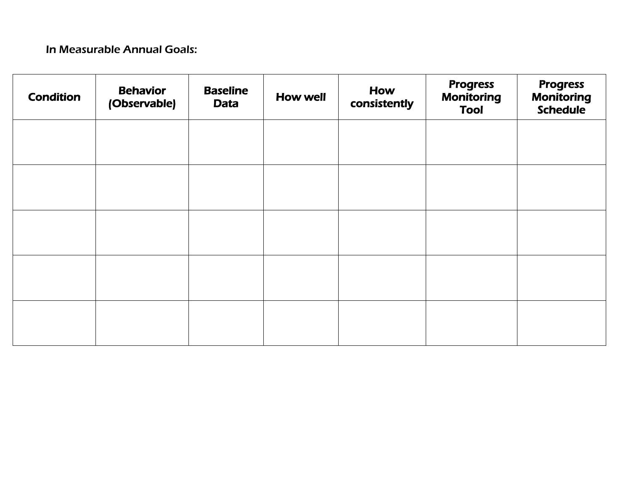## In Measurable Annual Goals:

| <b>Condition</b> | <b>Behavior</b><br>(Observable) | <b>Baseline</b><br><b>Data</b> | <b>How well</b> | How<br>consistently | <b>Progress</b><br><b>Monitoring</b><br><b>Tool</b> | <b>Progress</b><br><b>Monitoring</b><br><b>Schedule</b> |
|------------------|---------------------------------|--------------------------------|-----------------|---------------------|-----------------------------------------------------|---------------------------------------------------------|
|                  |                                 |                                |                 |                     |                                                     |                                                         |
|                  |                                 |                                |                 |                     |                                                     |                                                         |
|                  |                                 |                                |                 |                     |                                                     |                                                         |
|                  |                                 |                                |                 |                     |                                                     |                                                         |
|                  |                                 |                                |                 |                     |                                                     |                                                         |